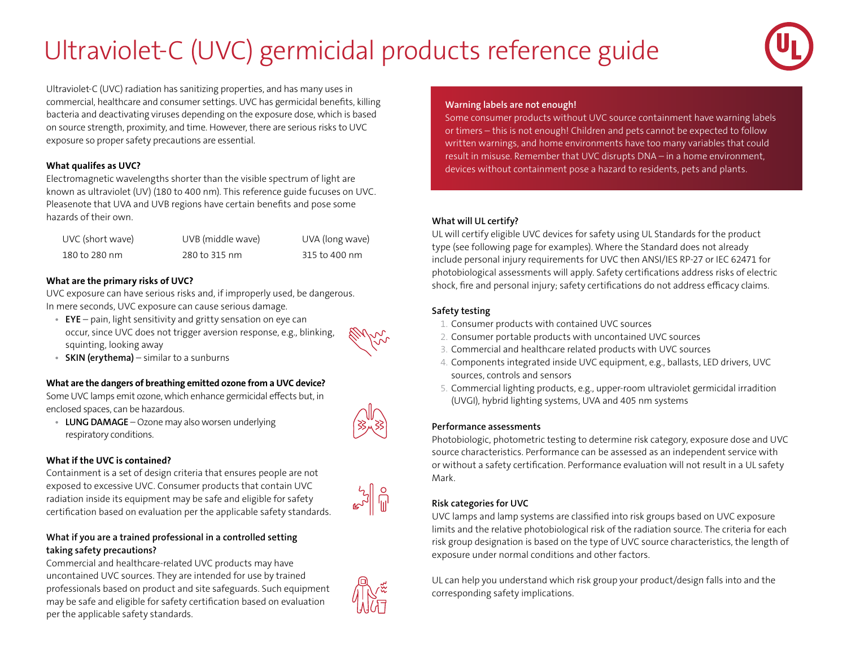# Ultraviolet-C (UVC) germicidal products reference guide



Ultraviolet-C (UVC) radiation has sanitizing properties, and has many uses in commercial, healthcare and consumer settings. UVC has germicidal benefits, killing bacteria and deactivating viruses depending on the exposure dose, which is based on source strength, proximity, and time. However, there are serious risks to UVC exposure so proper safety precautions are essential.

#### **What qualifes as UVC?**

Electromagnetic wavelengths shorter than the visible spectrum of light are known as ultraviolet (UV) (180 to 400 nm). This reference guide fucuses on UVC. Pleasenote that UVA and UVB regions have certain benefits and pose some hazards of their own.

| UVC (short wave) | UVB (middle wave) | UVA (long wave) |
|------------------|-------------------|-----------------|
| 180 to 280 nm    | 280 to 315 nm     | 315 to 400 nm   |

#### **What are the primary risks of UVC?**

UVC exposure can have serious risks and, if improperly used, be dangerous. In mere seconds, UVC exposure can cause serious damage.

**• EYE** – pain, light sensitivity and gritty sensation on eye can occur, since UVC does not trigger aversion response, e.g., blinking, squinting, looking away



**• SKIN (erythema)** – similar to a sunburns

#### **What are the dangers of breathing emitted ozone from a UVC device?**

Some UVC lamps emit ozone, which enhance germicidal effects but, in enclosed spaces, can be hazardous.

**• LUNG DAMAGE** – Ozone may also worsen underlying respiratory conditions.

#### **What if the UVC is contained?**

Containment is a set of design criteria that ensures people are not exposed to excessive UVC. Consumer products that contain UVC radiation inside its equipment may be safe and eligible for safety certification based on evaluation per the applicable safety standards.



#### **What if you are a trained professional in a controlled setting taking safety precautions?**

Commercial and healthcare-related UVC products may have uncontained UVC sources. They are intended for use by trained professionals based on product and site safeguards. Such equipment may be safe and eligible for safety certification based on evaluation per the applicable safety standards.



#### **Warning labels are not enough!**

Some consumer products without UVC source containment have warning labels or timers – this is not enough! Children and pets cannot be expected to follow written warnings, and home environments have too many variables that could result in misuse. Remember that UVC disrupts DNA – in a home environment, devices without containment pose a hazard to residents, pets and plants.

#### **What will UL certify?**

UL will certify eligible UVC devices for safety using UL Standards for the product type (see following page for examples). Where the Standard does not already include personal injury requirements for UVC then ANSI/IES RP-27 or IEC 62471 for photobiological assessments will apply. Safety certifications address risks of electric shock, fire and personal injury; safety certifications do not address efficacy claims.

#### **Safety testing**

- 1. Consumer products with contained UVC sources
- 2. Consumer portable products with uncontained UVC sources
- 3. Commercial and healthcare related products with UVC sources
- 4. Components integrated inside UVC equipment, e.g., ballasts, LED drivers, UVC sources, controls and sensors
- 5. Commercial lighting products, e.g., upper-room ultraviolet germicidal irradition (UVGI), hybrid lighting systems, UVA and 405 nm systems

#### **Performance assessments**

Photobiologic, photometric testing to determine risk category, exposure dose and UVC source characteristics. Performance can be assessed as an independent service with or without a safety certification. Performance evaluation will not result in a UL safety Mark.

#### **Risk categories for UVC**

UVC lamps and lamp systems are classified into risk groups based on UVC exposure limits and the relative photobiological risk of the radiation source. The criteria for each risk group designation is based on the type of UVC source characteristics, the length of exposure under normal conditions and other factors.

UL can help you understand which risk group your product/design falls into and the corresponding safety implications.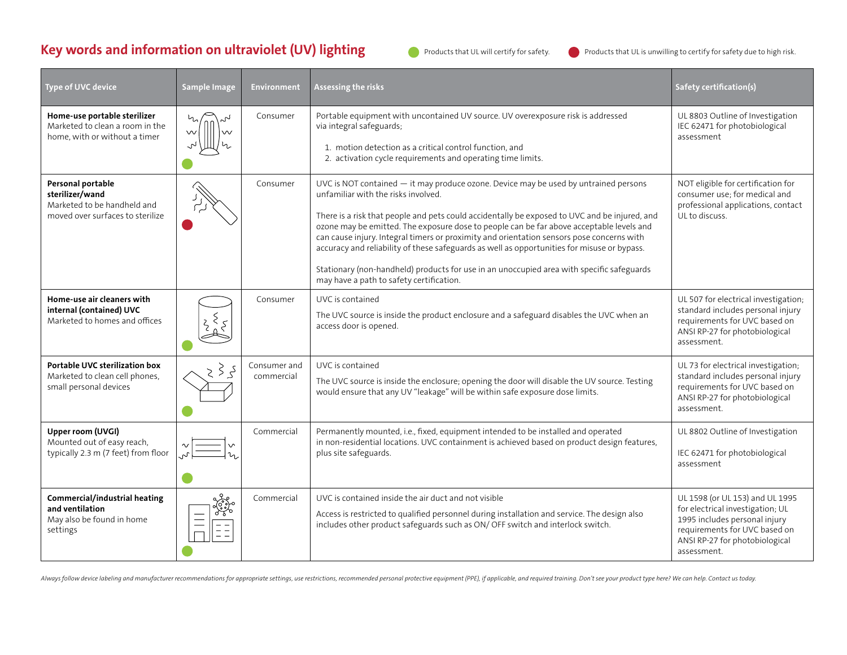## **Key words and information on ultraviolet (UV) lighting**



Products that UL will certify for safety. Products that UL is unwilling to certify for safety due to high risk.

| Type of UVC device                                                                                      | <b>Sample Image</b>                             | <b>Environment</b>         | Assessing the risks                                                                                                                                                                                                                                                                                                                                                                                                                                                                                                                                                                                                                                           | Safety certification(s)                                                                                                                                                                |
|---------------------------------------------------------------------------------------------------------|-------------------------------------------------|----------------------------|---------------------------------------------------------------------------------------------------------------------------------------------------------------------------------------------------------------------------------------------------------------------------------------------------------------------------------------------------------------------------------------------------------------------------------------------------------------------------------------------------------------------------------------------------------------------------------------------------------------------------------------------------------------|----------------------------------------------------------------------------------------------------------------------------------------------------------------------------------------|
| Home-use portable sterilizer<br>Marketed to clean a room in the<br>home, with or without a timer        | $\zeta$<br>$\vee$<br>$\vee$                     | Consumer                   | Portable equipment with uncontained UV source. UV overexposure risk is addressed<br>via integral safeguards;<br>1. motion detection as a critical control function, and<br>2. activation cycle requirements and operating time limits.                                                                                                                                                                                                                                                                                                                                                                                                                        | UL 8803 Outline of Investigation<br>IEC 62471 for photobiological<br>assessment                                                                                                        |
| Personal portable<br>sterilizer/wand<br>Marketed to be handheld and<br>moved over surfaces to sterilize |                                                 | Consumer                   | UVC is NOT contained - it may produce ozone. Device may be used by untrained persons<br>unfamiliar with the risks involved.<br>There is a risk that people and pets could accidentally be exposed to UVC and be injured, and<br>ozone may be emitted. The exposure dose to people can be far above acceptable levels and<br>can cause injury. Integral timers or proximity and orientation sensors pose concerns with<br>accuracy and reliability of these safeguards as well as opportunities for misuse or bypass.<br>Stationary (non-handheld) products for use in an unoccupied area with specific safeguards<br>may have a path to safety certification. | NOT eligible for certification for<br>consumer use; for medical and<br>professional applications, contact<br>UL to discuss.                                                            |
| Home-use air cleaners with<br>internal (contained) UVC<br>Marketed to homes and offices                 |                                                 | Consumer                   | UVC is contained<br>The UVC source is inside the product enclosure and a safeguard disables the UVC when an<br>access door is opened.                                                                                                                                                                                                                                                                                                                                                                                                                                                                                                                         | UL 507 for electrical investigation;<br>standard includes personal injury<br>requirements for UVC based on<br>ANSI RP-27 for photobiological<br>assessment.                            |
| <b>Portable UVC sterilization box</b><br>Marketed to clean cell phones,<br>small personal devices       | $\geq$<br>کی                                    | Consumer and<br>commercial | UVC is contained<br>The UVC source is inside the enclosure; opening the door will disable the UV source. Testing<br>would ensure that any UV "leakage" will be within safe exposure dose limits.                                                                                                                                                                                                                                                                                                                                                                                                                                                              | UL 73 for electrical investigation;<br>standard includes personal injury<br>requirements for UVC based on<br>ANSI RP-27 for photobiological<br>assessment.                             |
| Upper room (UVGI)<br>Mounted out of easy reach,<br>typically 2.3 m (7 feet) from floor                  | <br>                                            | Commercial                 | Permanently mounted, i.e., fixed, equipment intended to be installed and operated<br>in non-residential locations. UVC containment is achieved based on product design features,<br>plus site safeguards.                                                                                                                                                                                                                                                                                                                                                                                                                                                     | UL 8802 Outline of Investigation<br>IEC 62471 for photobiological<br>assessment                                                                                                        |
| Commercial/industrial heating<br>and ventilation<br>May also be found in home<br>settings               | yez.<br>$\equiv$<br>$\frac{1}{2}$ $\frac{1}{2}$ | Commercial                 | UVC is contained inside the air duct and not visible<br>Access is restricted to qualified personnel during installation and service. The design also<br>includes other product safeguards such as ON/OFF switch and interlock switch.                                                                                                                                                                                                                                                                                                                                                                                                                         | UL 1598 (or UL 153) and UL 1995<br>for electrical investigation; UL<br>1995 includes personal injury<br>requirements for UVC based on<br>ANSI RP-27 for photobiological<br>assessment. |

Always follow device labeling and manufacturer recommendations for appropriate settings, use restrictions, recommended personal protective equipment (PPE), if applicable, and required training. Don't see your product type